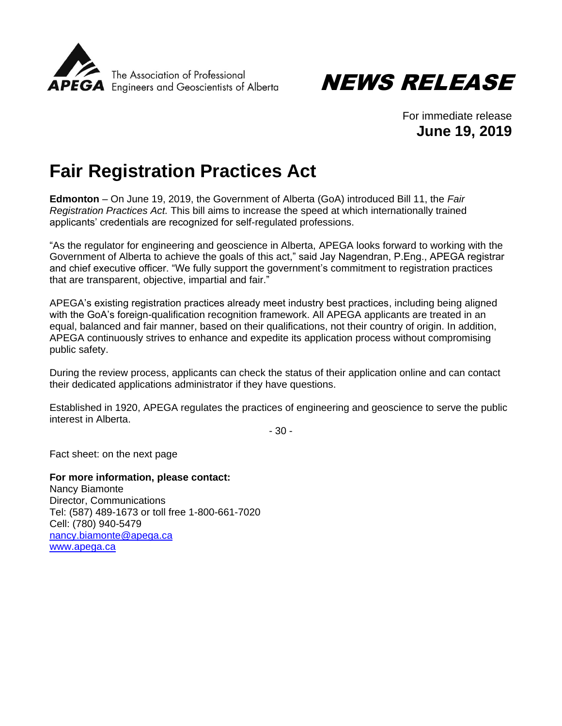



For immediate release **June 19, 2019**

## **Fair Registration Practices Act**

**Edmonton** – On June 19, 2019, the Government of Alberta (GoA) introduced Bill 11, the *Fair Registration Practices Act.* This bill aims to increase the speed at which internationally trained applicants' credentials are recognized for self-regulated professions.

"As the regulator for engineering and geoscience in Alberta, APEGA looks forward to working with the Government of Alberta to achieve the goals of this act," said Jay Nagendran, P.Eng., APEGA registrar and chief executive officer. "We fully support the government's commitment to registration practices that are transparent, objective, impartial and fair."

APEGA's existing registration practices already meet industry best practices, including being aligned with the GoA's foreign-qualification recognition framework. All APEGA applicants are treated in an equal, balanced and fair manner, based on their qualifications, not their country of origin. In addition, APEGA continuously strives to enhance and expedite its application process without compromising public safety.

During the review process, applicants can check the status of their application online and can contact their dedicated applications administrator if they have questions.

Established in 1920, APEGA regulates the practices of engineering and geoscience to serve the public interest in Alberta.

- 30 -

Fact sheet: on the next page

**For more information, please contact:** Nancy Biamonte Director, Communications Tel: (587) 489-1673 or toll free 1-800-661-7020 Cell: (780) 940-5479 [nancy.biamonte@apega.ca](mailto:nancy.biamonte@apega.ca) [www.apega.ca](http://www.apega.ca/)